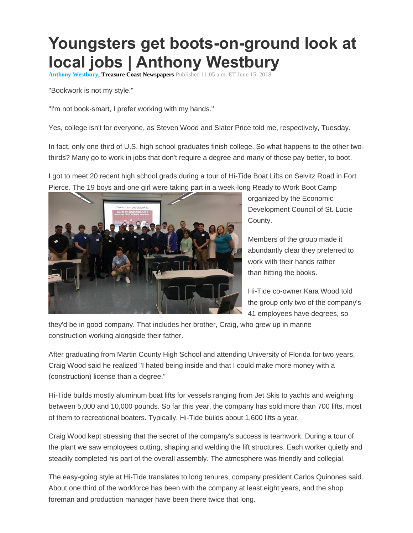## **Youngsters get boots-on-ground look at local jobs | Anthony Westbury**

**[Anthony Westbury,](http://www.tcpalm.com/staff/10052838/anthony-westbury/) Treasure Coast Newspapers** Published 11:05 a.m. ET June 15, 2018

"Bookwork is not my style."

"I'm not book-smart, I prefer working with my hands."

Yes, college isn't for everyone, as Steven Wood and Slater Price told me, respectively, Tuesday.

In fact, only one third of U.S. high school graduates finish college. So what happens to the other twothirds? Many go to work in jobs that don't require a degree and many of those pay better, to boot.

I got to meet 20 recent high school grads during a tour of Hi-Tide Boat Lifts on Selvitz Road in Fort Pierce. The 19 boys and one girl were taking part in a week-long Ready to Work Boot Camp



organized by the Economic Development Council of St. Lucie County.

Members of the group made it abundantly clear they preferred to work with their hands rather than hitting the books.

Hi-Tide co-owner Kara Wood told the group only two of the company's 41 employees have degrees, so

they'd be in good company. That includes her brother, Craig, who grew up in marine construction working alongside their father.

After graduating from Martin County High School and attending University of Florida for two years, Craig Wood said he realized "I hated being inside and that I could make more money with a (construction) license than a degree."

Hi-Tide builds mostly aluminum boat lifts for vessels ranging from Jet Skis to yachts and weighing between 5,000 and 10,000 pounds. So far this year, the company has sold more than 700 lifts, most of them to recreational boaters. Typically, Hi-Tide builds about 1,600 lifts a year.

Craig Wood kept stressing that the secret of the company's success is teamwork. During a tour of the plant we saw employees cutting, shaping and welding the lift structures. Each worker quietly and steadily completed his part of the overall assembly. The atmosphere was friendly and collegial.

The easy-going style at Hi-Tide translates to long tenures, company president Carlos Quinones said. About one third of the workforce has been with the company at least eight years, and the shop foreman and production manager have been there twice that long.